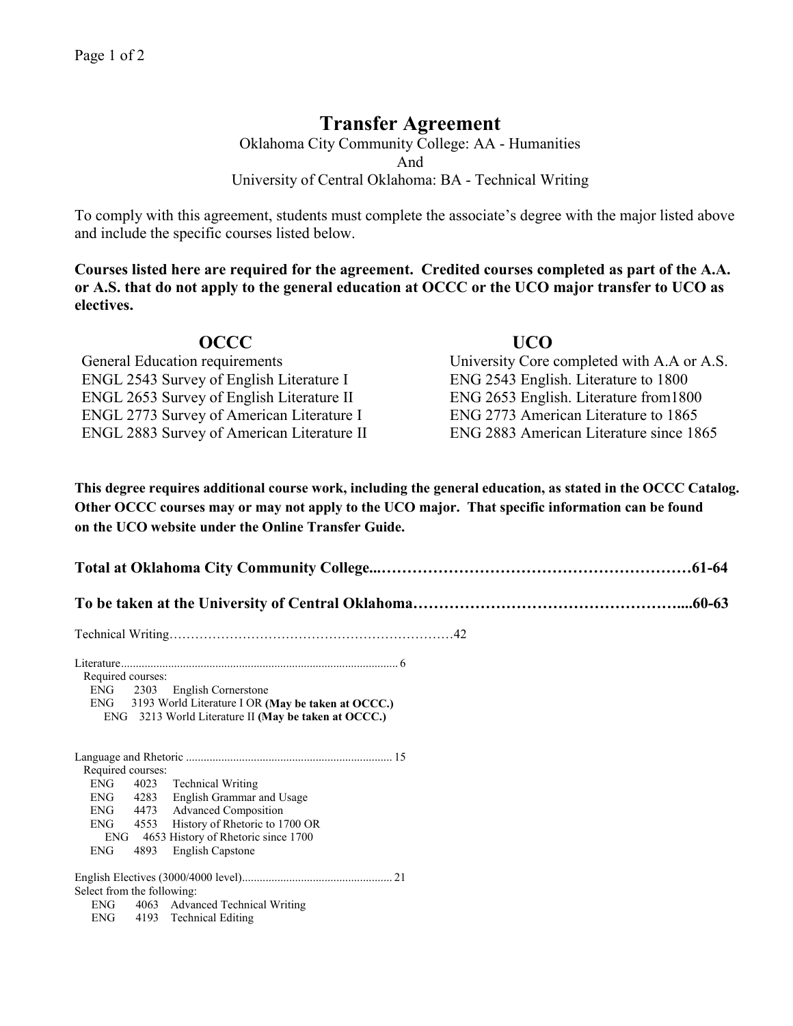## **Transfer Agreement**

Oklahoma City Community College: AA - Humanities And University of Central Oklahoma: BA - Technical Writing

To comply with this agreement, students must complete the associate's degree with the major listed above and include the specific courses listed below.

**Courses listed here are required for the agreement. Credited courses completed as part of the A.A. or A.S. that do not apply to the general education at OCCC or the UCO major transfer to UCO as electives.**

| <b>OCCC</b>                                       | <b>UCO</b>                                 |
|---------------------------------------------------|--------------------------------------------|
| <b>General Education requirements</b>             | University Core completed with A.A or A.S. |
| ENGL 2543 Survey of English Literature I          | ENG 2543 English. Literature to 1800       |
| <b>ENGL 2653 Survey of English Literature II</b>  | ENG 2653 English. Literature from 1800     |
| <b>ENGL 2773 Survey of American Literature I</b>  | ENG 2773 American Literature to 1865       |
| <b>ENGL 2883 Survey of American Literature II</b> | ENG 2883 American Literature since 1865    |

**This degree requires additional course work, including the general education, as stated in the OCCC Catalog. Other OCCC courses may or may not apply to the UCO major. That specific information can be found on the UCO website under the Online Transfer Guide.**

| Required courses:<br>ENG<br>2303 English Cornerstone<br>ENG 3193 World Literature I OR (May be taken at OCCC.)<br>ENG 3213 World Literature II (May be taken at OCCC.)                                                                                                                         |  |  |  |  |  |
|------------------------------------------------------------------------------------------------------------------------------------------------------------------------------------------------------------------------------------------------------------------------------------------------|--|--|--|--|--|
| Required courses:<br><b>ENG</b><br>4023 Technical Writing<br>4283 English Grammar and Usage<br><b>ENG</b><br>4473 Advanced Composition<br><b>ENG</b><br>4553 History of Rhetoric to 1700 OR<br><b>ENG</b><br>ENG 4653 History of Rhetoric since 1700<br><b>ENG</b><br>4893<br>English Capstone |  |  |  |  |  |
| Select from the following:<br>ENG 4063 Advanced Technical Writing<br><b>ENG</b><br>4193 Technical Editing                                                                                                                                                                                      |  |  |  |  |  |